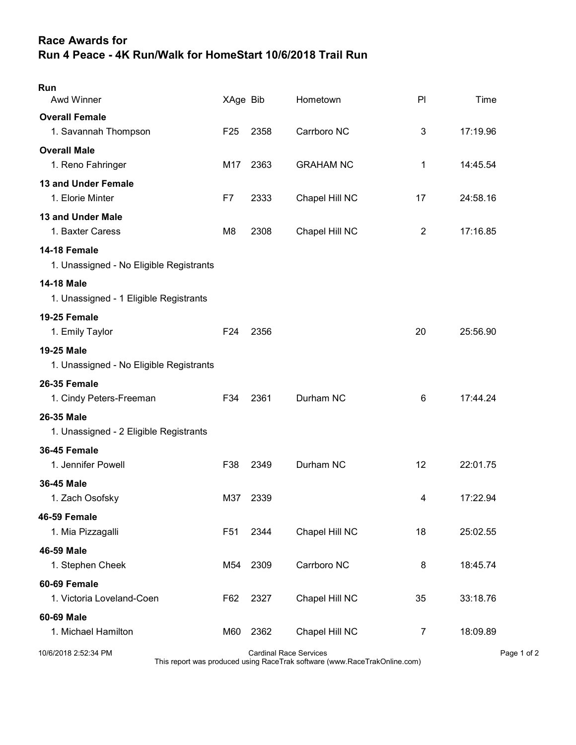## Race Awards for Run 4 Peace - 4K Run/Walk for HomeStart 10/6/2018 Trail Run

| Run<br><b>Awd Winner</b>                                | XAge Bib        |                               | Hometown         | PI             | Time        |
|---------------------------------------------------------|-----------------|-------------------------------|------------------|----------------|-------------|
| <b>Overall Female</b>                                   |                 |                               |                  |                |             |
| 1. Savannah Thompson                                    | F <sub>25</sub> | 2358                          | Carrboro NC      | 3              | 17:19.96    |
| <b>Overall Male</b>                                     |                 |                               |                  |                |             |
| 1. Reno Fahringer                                       | M17             | 2363                          | <b>GRAHAM NC</b> | 1              | 14:45.54    |
| <b>13 and Under Female</b>                              |                 |                               |                  |                |             |
| 1. Elorie Minter                                        | F7              | 2333                          | Chapel Hill NC   | 17             | 24:58.16    |
| 13 and Under Male                                       |                 |                               |                  |                |             |
| 1. Baxter Caress                                        | M <sub>8</sub>  | 2308                          | Chapel Hill NC   | $\overline{2}$ | 17:16.85    |
| 14-18 Female<br>1. Unassigned - No Eligible Registrants |                 |                               |                  |                |             |
| <b>14-18 Male</b>                                       |                 |                               |                  |                |             |
| 1. Unassigned - 1 Eligible Registrants                  |                 |                               |                  |                |             |
| 19-25 Female                                            |                 |                               |                  |                |             |
| 1. Emily Taylor                                         | F <sub>24</sub> | 2356                          |                  | 20             | 25:56.90    |
| <b>19-25 Male</b>                                       |                 |                               |                  |                |             |
| 1. Unassigned - No Eligible Registrants                 |                 |                               |                  |                |             |
| <b>26-35 Female</b>                                     |                 |                               |                  |                |             |
| 1. Cindy Peters-Freeman                                 | F34             | 2361                          | Durham NC        | 6              | 17:44.24    |
| 26-35 Male                                              |                 |                               |                  |                |             |
| 1. Unassigned - 2 Eligible Registrants                  |                 |                               |                  |                |             |
| 36-45 Female                                            |                 |                               |                  |                |             |
| 1. Jennifer Powell                                      | F38             | 2349                          | Durham NC        | 12             | 22:01.75    |
| 36-45 Male                                              |                 |                               |                  |                |             |
| 1. Zach Osofsky                                         | M37             | 2339                          |                  | 4              | 17:22.94    |
| 46-59 Female                                            |                 |                               |                  |                |             |
| 1. Mia Pizzagalli                                       | F51             | 2344                          | Chapel Hill NC   | 18             | 25:02.55    |
| 46-59 Male                                              |                 |                               |                  |                |             |
| 1. Stephen Cheek                                        | M54             | 2309                          | Carrboro NC      | 8              | 18:45.74    |
| 60-69 Female                                            |                 |                               |                  |                |             |
| 1. Victoria Loveland-Coen                               | F62             | 2327                          | Chapel Hill NC   | 35             | 33:18.76    |
| 60-69 Male                                              |                 |                               |                  |                |             |
| 1. Michael Hamilton                                     | M60             | 2362                          | Chapel Hill NC   | $\overline{7}$ | 18:09.89    |
| 10/6/2018 2:52:34 PM                                    |                 | <b>Cardinal Race Services</b> |                  |                | Page 1 of 2 |

This report was produced using RaceTrak software (www.RaceTrakOnline.com)